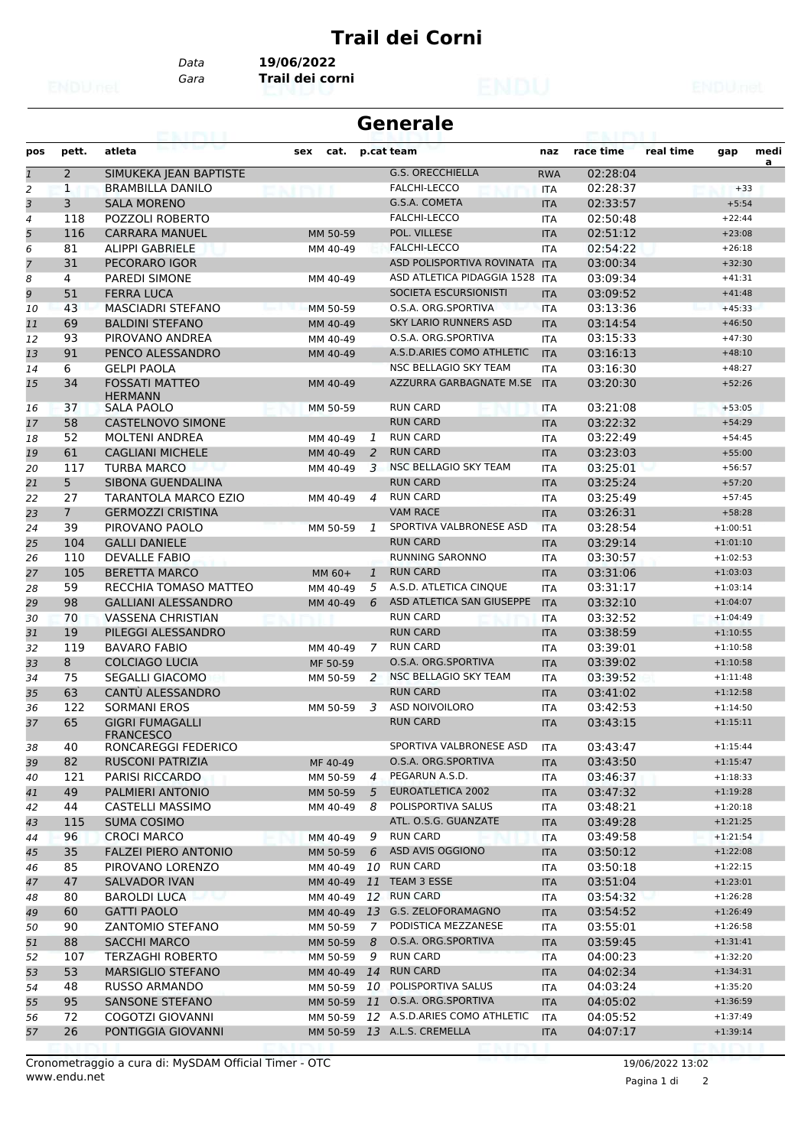## **Trail dei Corni**

*Data* **19/06/2022**

*Gara* **Trail dei corni**

| <b>Generale</b><br>53. I FYL I |                |                                            |             |                |                               |            |           |           |            |      |
|--------------------------------|----------------|--------------------------------------------|-------------|----------------|-------------------------------|------------|-----------|-----------|------------|------|
| pos                            | pett.          | atleta                                     | sex<br>cat. |                | p.cat team                    | naz        | race time | real time | gap        | medi |
| $\mathbf{1}$                   | 2              | SIMUKEKA JEAN BAPTISTE                     |             |                | <b>G.S. ORECCHIELLA</b>       | <b>RWA</b> | 02:28:04  |           |            | a    |
| $\overline{a}$                 | 1              | <b>BRAMBILLA DANILO</b>                    |             |                | <b>FALCHI-LECCO</b>           | <b>ITA</b> | 02:28:37  |           | $+33$      |      |
| 3                              | 3              | <b>SALA MORENO</b>                         |             |                | G.S.A. COMETA                 | <b>ITA</b> | 02:33:57  |           | $+5:54$    |      |
| 4                              | 118            | <b>POZZOLI ROBERTO</b>                     |             |                | FALCHI-LECCO                  | <b>ITA</b> | 02:50:48  |           | $+22:44$   |      |
| 5                              | 116            | <b>CARRARA MANUEL</b>                      | MM 50-59    |                | POL. VILLESE                  | <b>ITA</b> | 02:51:12  |           | $+23:08$   |      |
| 6                              | 81             | <b>ALIPPI GABRIELE</b>                     | MM 40-49    |                | <b>FALCHI-LECCO</b>           | ITA        | 02:54:22  |           | $+26:18$   |      |
| $\overline{7}$                 | 31             | PECORARO IGOR                              |             |                | ASD POLISPORTIVA ROVINATA ITA |            | 03:00:34  |           | $+32:30$   |      |
| 8                              | 4              | <b>PAREDI SIMONE</b>                       | MM 40-49    |                | ASD ATLETICA PIDAGGIA 1528    | <b>ITA</b> | 03:09:34  |           | $+41:31$   |      |
| 9                              | 51             | <b>FERRA LUCA</b>                          |             |                | SOCIETA ESCURSIONISTI         | <b>ITA</b> | 03:09:52  |           | $+41:48$   |      |
| 10                             | 43             | <b>MASCIADRI STEFANO</b>                   | MM 50-59    |                | O.S.A. ORG.SPORTIVA           | <b>ITA</b> | 03:13:36  |           | $+45:33$   |      |
| 11                             | 69             | <b>BALDINI STEFANO</b>                     | MM 40-49    |                | <b>SKY LARIO RUNNERS ASD</b>  | <b>ITA</b> | 03:14:54  |           | $+46:50$   |      |
| 12                             | 93             | PIROVANO ANDREA                            | MM 40-49    |                | O.S.A. ORG.SPORTIVA           | <b>ITA</b> | 03:15:33  |           | $+47:30$   |      |
| 13                             | 91             | PENCO ALESSANDRO                           | MM 40-49    |                | A.S.D.ARIES COMO ATHLETIC     | <b>ITA</b> | 03:16:13  |           | $+48:10$   |      |
| 14                             | 6              | <b>GELPI PAOLA</b>                         |             |                | NSC BELLAGIO SKY TEAM         | <b>ITA</b> | 03:16:30  |           | $+48:27$   |      |
| 15                             | 34             | <b>FOSSATI MATTEO</b><br>HERMANN           | MM 40-49    |                | AZZURRA GARBAGNATE M.SE       | <b>ITA</b> | 03:20:30  |           | $+52:26$   |      |
| 16                             | 37             | SALA PAOLO                                 | MM 50-59    |                | <b>RUN CARD</b>               | <b>ITA</b> | 03:21:08  |           | $+53:05$   |      |
| 17                             | 58             | <b>CASTELNOVO SIMONE</b>                   |             |                | <b>RUN CARD</b>               | <b>ITA</b> | 03:22:32  |           | $+54:29$   |      |
| 18                             | 52             | <b>MOLTENI ANDREA</b>                      | MM 40-49    | 1              | <b>RUN CARD</b>               | <b>ITA</b> | 03:22:49  |           | $+54:45$   |      |
| 19                             | 61             | <b>CAGLIANI MICHELE</b>                    | MM 40-49    | 2              | <b>RUN CARD</b>               | <b>ITA</b> | 03:23:03  |           | $+55:00$   |      |
| 20                             | 117            | <b>TURBA MARCO</b>                         | MM 40-49    | 3              | NSC BELLAGIO SKY TEAM         | ITA        | 03:25:01  |           | $+56:57$   |      |
| 21                             | 5              | SIBONA GUENDALINA                          |             |                | <b>RUN CARD</b>               | <b>ITA</b> | 03:25:24  |           | $+57:20$   |      |
| 22                             | 27             | <b>TARANTOLA MARCO EZIO</b>                | MM 40-49    | 4              | <b>RUN CARD</b>               | ITA        | 03:25:49  |           | $+57:45$   |      |
| 23                             | 7 <sup>7</sup> | <b>GERMOZZI CRISTINA</b>                   |             |                | <b>VAM RACE</b>               | <b>ITA</b> | 03:26:31  |           | $+58:28$   |      |
| 24                             | 39             | PIROVANO PAOLO                             | MM 50-59    | 1              | SPORTIVA VALBRONESE ASD       | <b>ITA</b> | 03:28:54  |           | $+1:00:51$ |      |
| 25                             | 104            | <b>GALLI DANIELE</b>                       |             |                | <b>RUN CARD</b>               | <b>ITA</b> | 03:29:14  |           | $+1:01:10$ |      |
| 26                             | 110            | DEVALLE FABIO                              |             |                | <b>RUNNING SARONNO</b>        | <b>ITA</b> | 03:30:57  |           | $+1:02:53$ |      |
| 27                             | 105            | <b>BERETTA MARCO</b>                       | MM 60+      | $\mathbf{1}$   | <b>RUN CARD</b>               | <b>ITA</b> | 03:31:06  |           | $+1:03:03$ |      |
| 28                             | 59             | RECCHIA TOMASO MATTEO                      | MM 40-49    | 5              | A.S.D. ATLETICA CINQUE        | <b>ITA</b> | 03:31:17  |           | $+1:03:14$ |      |
| 29                             | 98             | <b>GALLIANI ALESSANDRO</b>                 | MM 40-49    | 6              | ASD ATLETICA SAN GIUSEPPE     | <b>ITA</b> | 03:32:10  |           | $+1:04:07$ |      |
| 30                             | 70             | <b>VASSENA CHRISTIAN</b>                   |             |                | <b>RUN CARD</b>               | <b>ITA</b> | 03:32:52  |           | $+1:04:49$ |      |
| 31                             | 19             | PILEGGI ALESSANDRO                         |             |                | <b>RUN CARD</b>               | <b>ITA</b> | 03:38:59  |           | $+1:10:55$ |      |
| 32                             | 119            | <b>BAVARO FABIO</b>                        | MM 40-49    | 7              | <b>RUN CARD</b>               | ITA        | 03:39:01  |           | $+1:10:58$ |      |
| 33                             | 8              | <b>COLCIAGO LUCIA</b>                      | MF 50-59    |                | O.S.A. ORG.SPORTIVA           | <b>ITA</b> | 03:39:02  |           | $+1:10:58$ |      |
| 34                             | 75             | <b>SEGALLI GIACOMO</b>                     | MM 50-59    | 2              | NSC BELLAGIO SKY TEAM         | <b>ITA</b> | 03:39:52  |           | $+1:11:48$ |      |
| 35                             | 63             | CANTÙ ALESSANDRO                           |             |                | <b>RUN CARD</b>               | <b>ITA</b> | 03:41:02  |           | $+1:12:58$ |      |
| 36                             | 122            | <b>SORMANI EROS</b>                        | MM 50-59    | 3              | ASD NOIVOILORO                | <b>ITA</b> | 03:42:53  |           | $+1:14:50$ |      |
| 37                             | 65             | <b>GIGRI FUMAGALLI</b><br><b>FRANCESCO</b> |             |                | <b>RUN CARD</b>               | <b>ITA</b> | 03:43:15  |           | $+1:15:11$ |      |
| 38                             | 40             | RONCAREGGI FEDERICO                        |             |                | SPORTIVA VALBRONESE ASD       | <b>ITA</b> | 03:43:47  |           | $+1:15:44$ |      |
| 39                             | 82             | RUSCONI PATRIZIA                           | MF 40-49    |                | O.S.A. ORG.SPORTIVA           | <b>ITA</b> | 03:43:50  |           | $+1:15:47$ |      |
| 40                             | 121            | PARISI RICCARDO                            | MM 50-59    | $\overline{4}$ | PEGARUN A.S.D.                | ITA        | 03:46:37  |           | $+1:18:33$ |      |
| 41                             | 49             | PALMIERI ANTONIO                           | MM 50-59    | 5              | EUROATLETICA 2002             | <b>ITA</b> | 03:47:32  |           | $+1:19:28$ |      |
| 42                             | 44             | CASTELLI MASSIMO                           | MM 40-49    | 8              | POLISPORTIVA SALUS            | ITA        | 03:48:21  |           | $+1:20:18$ |      |
| 43                             | 115            | <b>SUMA COSIMO</b>                         |             |                | ATL. O.S.G. GUANZATE          | <b>ITA</b> | 03:49:28  |           | $+1:21:25$ |      |
| 44                             | 96             | <b>CROCI MARCO</b>                         | MM 40-49    | 9              | <b>RUN CARD</b>               | ITA        | 03:49:58  |           | $+1:21:54$ |      |
| 45                             | 35             | <b>FALZEI PIERO ANTONIO</b>                | MM 50-59    | 6              | ASD AVIS OGGIONO              | <b>ITA</b> | 03:50:12  |           | $+1:22:08$ |      |
| 46                             | 85             | PIROVANO LORENZO                           | MM 40-49    | 10             | <b>RUN CARD</b>               | ITA        | 03:50:18  |           | $+1:22:15$ |      |
| 47                             | 47             | <b>SALVADOR IVAN</b>                       | MM 40-49    | 11             | TEAM 3 ESSE                   | <b>ITA</b> | 03:51:04  |           | $+1:23:01$ |      |
| 48                             | 80             | <b>BAROLDI LUCA</b>                        | MM 40-49    |                | 12 RUN CARD                   | ITA        | 03:54:32  |           | $+1:26:28$ |      |
| 49                             | 60             | <b>GATTI PAOLO</b>                         | MM 40-49    | 13             | G.S. ZELOFORAMAGNO            | <b>ITA</b> | 03:54:52  |           | $+1:26:49$ |      |
| 50                             | 90             | <b>ZANTOMIO STEFANO</b>                    | MM 50-59    | 7              | PODISTICA MEZZANESE           | ITA        | 03:55:01  |           | $+1:26:58$ |      |
| 51                             | 88             | SACCHI MARCO                               | MM 50-59    | 8              | O.S.A. ORG.SPORTIVA           | <b>ITA</b> | 03:59:45  |           | $+1:31:41$ |      |
| 52                             | 107            | <b>TERZAGHI ROBERTO</b>                    | MM 50-59    | 9              | <b>RUN CARD</b>               | ITA        | 04:00:23  |           | $+1:32:20$ |      |
| 53                             | 53             | <b>MARSIGLIO STEFANO</b>                   | MM 40-49    | 14             | <b>RUN CARD</b>               | <b>ITA</b> | 04:02:34  |           | $+1:34:31$ |      |
| 54                             | 48             | RUSSO ARMANDO                              | MM 50-59    | 10             | POLISPORTIVA SALUS            | ITA        | 04:03:24  |           | $+1:35:20$ |      |
| 55                             | 95             | SANSONE STEFANO                            | MM 50-59 11 |                | O.S.A. ORG.SPORTIVA           | <b>ITA</b> | 04:05:02  |           | $+1:36:59$ |      |
| 56                             | 72             | COGOTZI GIOVANNI                           | MM 50-59    |                | 12 A.S.D.ARIES COMO ATHLETIC  | <b>ITA</b> | 04:05:52  |           | $+1:37:49$ |      |
| 57                             | 26             | PONTIGGIA GIOVANNI                         |             |                | MM 50-59 13 A.L.S. CREMELLA   | <b>ITA</b> | 04:07:17  |           | $+1:39:14$ |      |

Pagina 1 di 2